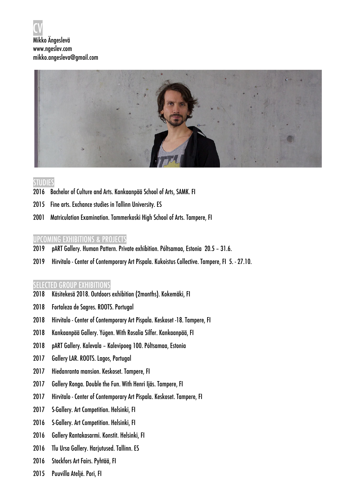

## **STUDIES**

- 2016 Bachelor of Culture and Arts. Kankaanpää School of Arts, SAMK. FI
- 2015 Fine arts. Exchance studies in Tallinn University. ES
- 2001 Matriculation Examination. Tammerkoski High School of Arts. Tampere, FI

### UPCOMING EXHIBITIONS & PROJECTS

- 2019 pART Gallery. Human Pattern. Private exhibition. Póltsamaa, Estonia 20.5 31.6.
- 2019 Hirvitalo Center of Contemporary Art Pispala. Kukoistus Collective. Tampere, FI 5. 27.10.

### SELECTED GROUP EXHIBITIONS

- 2018 Käsitekesä 2018. Outdoors exhibition (2months). Kokemäki, FI
- 2018 Fortaleza de Sagres. ROOTS. Portugal
- 2018 Hirvitalo Center of Contemporary Art Pispala. Keskoset -18. Tampere, FI
- 2018 Kankaanpää Gallery. Yúgen. With Rosalia Silfer. Kankaanpää, FI
- 2018 pART Gallery. Kalevala Kalevipoeg 100. Póltsamaa, Estonia
- 2017 Gallery LAR. ROOTS. Lagos, Portugal
- 2017 Hiedanranta mansion. Keskoset. Tampere, FI
- 2017 Gallery Ronga. Double the Fun. With Henri Ijäs. Tampere, FI
- 2017 Hirvitalo Center of Contemporary Art Pispala. Keskoset. Tampere, FI
- 2017 S-Gallery. Art Competition. Helsinki, FI
- 2016 S-Gallery. Art Competition. Helsinki, FI
- 2016 Gallery Rantakasarmi. Konstit. Helsinki, FI
- 2016 Tlu Ursa Gallery. Harjutused. Tallinn. ES
- 2016 Stockfors Art Fairs. Pyhtää, FI
- 2015 Puuvilla Ateljé. Pori, FI